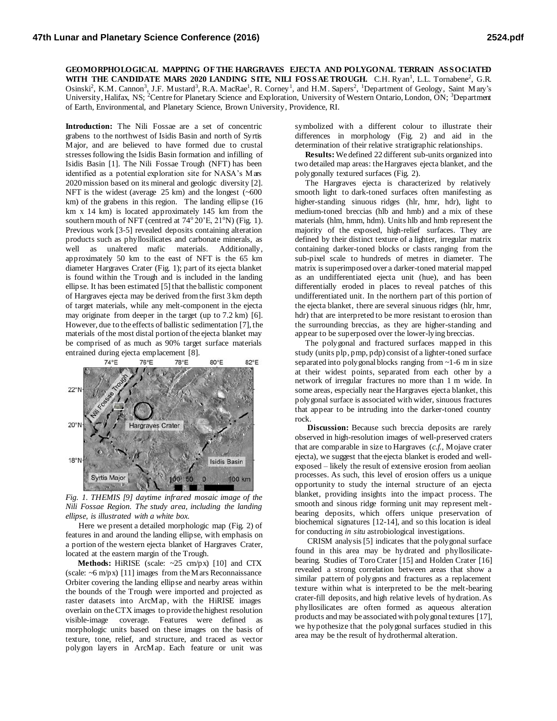**GEOMORPHOLOGICAL MAPPING OF THE HARGRAVES EJECTA AND POLYGONAL TERRAIN ASSOCIATED**  WITH THE CANDIDATE MARS 2020 LANDING SITE, NILI FOSSAE TROUGH. C.H. Ryan<sup>1</sup>, L.L. Tornabene<sup>2</sup>, G.R. Osinski<sup>2</sup>, K.M. Cannon<sup>3</sup>, J.F. Mustard<sup>3</sup>, R.A. MacRae<sup>1</sup>, R. Corney<sup>1</sup>, and H.M. Sapers<sup>2</sup>, <sup>1</sup>Department of Geology, Saint Mary's University, Halifax, NS; <sup>2</sup>Centre for Planetary Science and Exploration, University of Western Ontario, London, ON; <sup>3</sup>Department of Earth, Environmental, and Planetary Science, Brown University, Providence, RI.

**Introduction:** The Nili Fossae are a set of concentric grabens to the northwest of Isidis Basin and north of Syrtis Major, and are believed to have formed due to crustal stresses following the Isidis Basin formation and infilling of Isidis Basin [1]. The Nili Fossae Trough (NFT) has been identified as a potential exploration site for NASA's Mars 2020 mission based on its mineral and geologic diversity [2]. NFT is the widest (average 25 km) and the longest (~600) km) of the grabens in this region. The landing ellipse (16 km x 14 km) is located approximately 145 km from the southern mouth of NFT (centred at  $74^{\circ}20^{\circ}E$ ,  $21^{\circ}N$ ) (Fig. 1). Previous work [3-5] revealed deposits containing alteration products such as phyllosilicates and carbonate minerals, as well as unaltered mafic materials. Additionally, approximately 50 km to the east of NFT is the 65 km diameter Hargraves Crater (Fig. 1); part of its ejecta blanket is found within the Trough and is included in the landing ellipse. It has been estimated [5] that the ballistic component of Hargraves ejecta may be derived from the first 3 km depth of target materials, while any melt-component in the ejecta may originate from deeper in the target (up to 7.2 km) [6]. However, due to the effects of ballistic sedimentation [7], the materials of the most distal portion of the ejecta blanket may be comprised of as much as 90% target surface materials entrained during ejecta emplacement [8].



*Fig. 1. THEMIS [9] daytime infrared mosaic image of the Nili Fossae Region. The study area, including the landing ellipse, is illustrated with a white box.*

Here we present a detailed morphologic map (Fig. 2) of features in and around the landing ellipse, with emphasis on a portion of the western ejecta blanket of Hargraves Crater, located at the eastern margin of the Trough.

 **Methods:** HiRISE (scale: ~25 cm/px) [10] and CTX (scale:  $\sim$ 6 m/px) [11] images from the M ars Reconnaissance Orbiter covering the landing ellipse and nearby areas within the bounds of the Trough were imported and projected as raster datasets into ArcMap, with the HiRISE images overlain on the CTX images to provide the highest resolution visible-image coverage. Features were defined as morphologic units based on these images on the basis of texture, tone, relief, and structure, and traced as vector polygon layers in ArcMap. Each feature or unit was

symbolized with a different colour to illustrate their differences in morphology (Fig. 2) and aid in the determination of their relative stratigraphic relationships.

 **Results:** We defined 22 different sub-units organized into two detailed map areas: the Hargraves ejecta blanket, and the polygonally textured surfaces (Fig. 2).

 The Hargraves ejecta is characterized by relatively smooth light to dark-toned surfaces often manifesting as higher-standing sinuous ridges (hlr, hmr, hdr), light to medium-toned breccias (hlb and hmb) and a mix of these materials (hlm, hmm, hdm). Units hlb and hmb represent the majority of the exposed, high-relief surfaces. They are defined by their distinct texture of a lighter, irregular matrix containing darker-toned blocks or clasts ranging from the sub-pixel scale to hundreds of metres in diameter. The matrix is superimposed over a darker-toned material mapped as an undifferentiated ejecta unit (hue), and has been differentially eroded in places to reveal patches of this undifferentiated unit. In the northern part of this portion of the ejecta blanket, there are several sinuous ridges (hlr, hmr, hdr) that are interpreted to be more resistant to erosion than the surrounding breccias, as they are higher-standing and appear to be superposed over the lower-lying breccias.

 The polygonal and fractured surfaces mapped in this study (units plp, pmp, pdp) consist of a lighter-toned surface separated into polygonal blocks ranging from ~1-6 m in size at their widest points, separated from each other by a network of irregular fractures no more than 1 m wide. In some areas, especially near the Hargraves ejecta blanket, this polygonal surface is associated with wider, sinuous fractures that appear to be intruding into the darker-toned country rock.

**Discussion:** Because such breccia deposits are rarely observed in high-resolution images of well-preserved craters that are comparable in size to Hargraves (*c.f.*, Mojave crater ejecta), we suggest that the ejecta blanket is eroded and wellexposed – likely the result of extensive erosion from aeolian processes. As such, this level of erosion offers us a unique opportunity to study the internal structure of an ejecta blanket, providing insights into the impact process. The smooth and sinous ridge forming unit may represent meltbearing deposits, which offers unique preservation of biochemical signatures [12-14], and so this location is ideal for conducting *in situ* astrobiological investigations.

 CRISM analysis [5] indicates that the polygonal surface found in this area may be hydrated and phyllosilicatebearing. Studies of Toro Crater [15] and Holden Crater [16] revealed a strong correlation between areas that show a similar pattern of polygons and fractures as a replacement texture within what is interpreted to be the melt-bearing crater-fill deposits, and high relative levels of hydration. As phyllosilicates are often formed as aqueous alteration products and may be associated with polygonal textures [17], we hypothesize that the polygonal surfaces studied in this area may be the result of hydrothermal alteration.